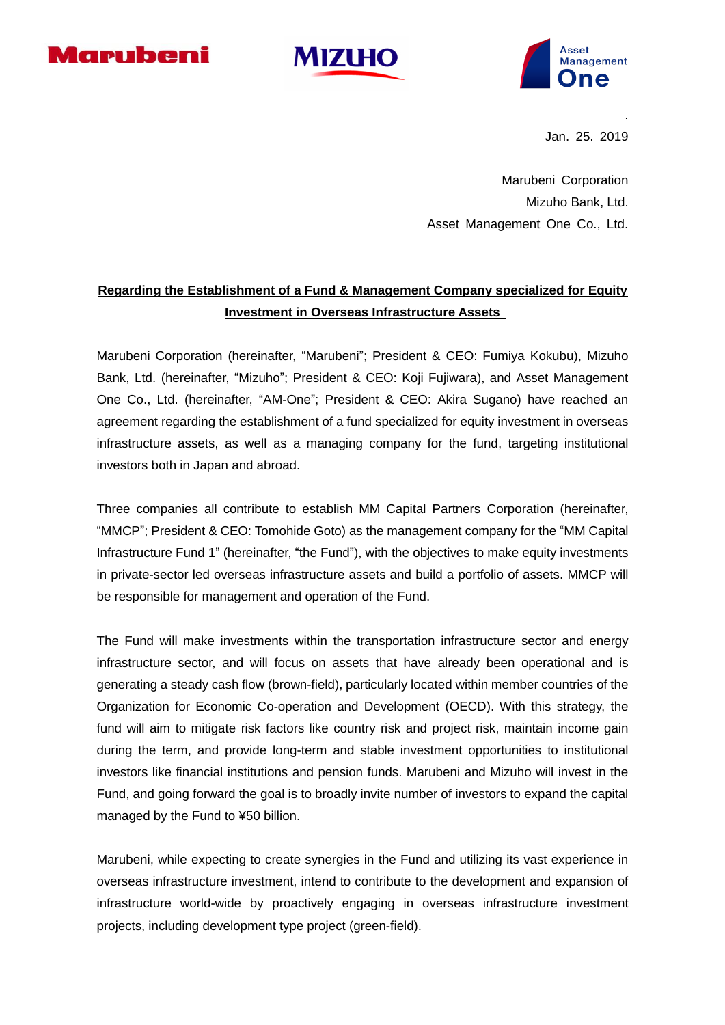





Jan. 25. 2019

.

Marubeni Corporation Mizuho Bank, Ltd. Asset Management One Co., Ltd.

# **Regarding the Establishment of a Fund & Management Company specialized for Equity Investment in Overseas Infrastructure Assets**

Marubeni Corporation (hereinafter, "Marubeni"; President & CEO: Fumiya Kokubu), Mizuho Bank, Ltd. (hereinafter, "Mizuho"; President & CEO: Koji Fujiwara), and Asset Management One Co., Ltd. (hereinafter, "AM-One"; President & CEO: Akira Sugano) have reached an agreement regarding the establishment of a fund specialized for equity investment in overseas infrastructure assets, as well as a managing company for the fund, targeting institutional investors both in Japan and abroad.

Three companies all contribute to establish MM Capital Partners Corporation (hereinafter, "MMCP"; President & CEO: Tomohide Goto) as the management company for the "MM Capital Infrastructure Fund 1" (hereinafter, "the Fund"), with the objectives to make equity investments in private-sector led overseas infrastructure assets and build a portfolio of assets. MMCP will be responsible for management and operation of the Fund.

The Fund will make investments within the transportation infrastructure sector and energy infrastructure sector, and will focus on assets that have already been operational and is generating a steady cash flow (brown-field), particularly located within member countries of the Organization for Economic Co-operation and Development (OECD). With this strategy, the fund will aim to mitigate risk factors like country risk and project risk, maintain income gain during the term, and provide long-term and stable investment opportunities to institutional investors like financial institutions and pension funds. Marubeni and Mizuho will invest in the Fund, and going forward the goal is to broadly invite number of investors to expand the capital managed by the Fund to ¥50 billion.

Marubeni, while expecting to create synergies in the Fund and utilizing its vast experience in overseas infrastructure investment, intend to contribute to the development and expansion of infrastructure world-wide by proactively engaging in overseas infrastructure investment projects, including development type project (green-field).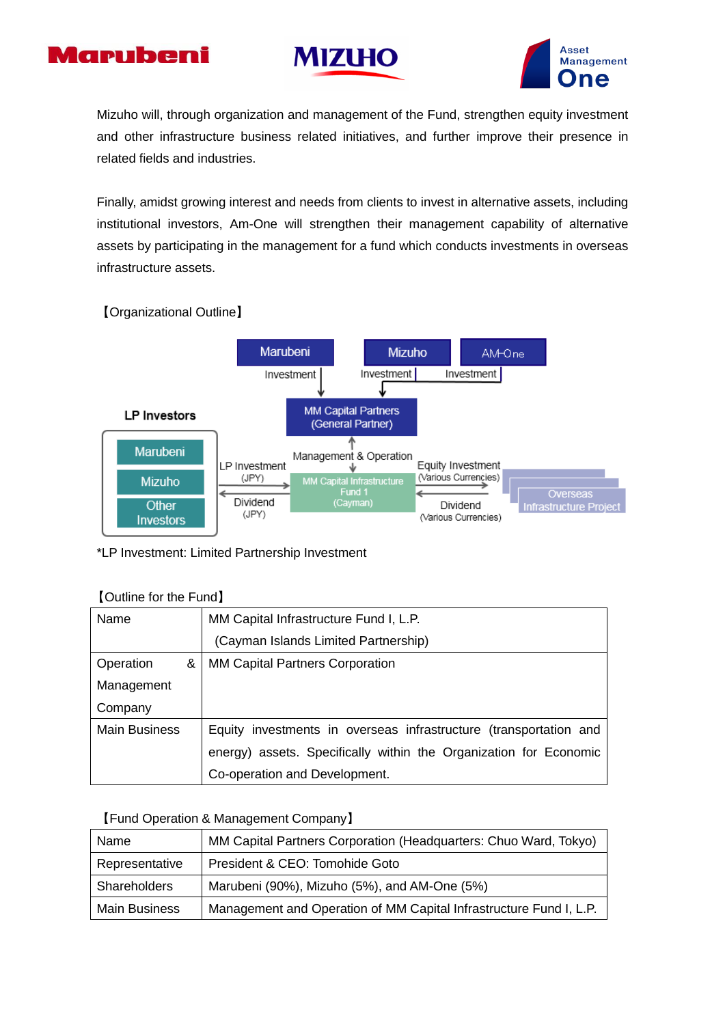





Mizuho will, through organization and management of the Fund, strengthen equity investment and other infrastructure business related initiatives, and further improve their presence in related fields and industries.

Finally, amidst growing interest and needs from clients to invest in alternative assets, including institutional investors, Am-One will strengthen their management capability of alternative assets by participating in the management for a fund which conducts investments in overseas infrastructure assets.

# 【Organizational Outline】



#### \*LP Investment: Limited Partnership Investment

## 【Outline for the Fund】

| Name                 | MM Capital Infrastructure Fund I, L.P.                            |
|----------------------|-------------------------------------------------------------------|
|                      | (Cayman Islands Limited Partnership)                              |
| Operation<br>&       | <b>MM Capital Partners Corporation</b>                            |
| Management           |                                                                   |
| Company              |                                                                   |
| <b>Main Business</b> | Equity investments in overseas infrastructure (transportation and |
|                      | energy) assets. Specifically within the Organization for Economic |
|                      | Co-operation and Development.                                     |

## 【Fund Operation & Management Company】

| Name                 | MM Capital Partners Corporation (Headquarters: Chuo Ward, Tokyo)   |
|----------------------|--------------------------------------------------------------------|
| Representative       | President & CEO: Tomohide Goto                                     |
| Shareholders         | Marubeni (90%), Mizuho (5%), and AM-One (5%)                       |
| <b>Main Business</b> | Management and Operation of MM Capital Infrastructure Fund I, L.P. |